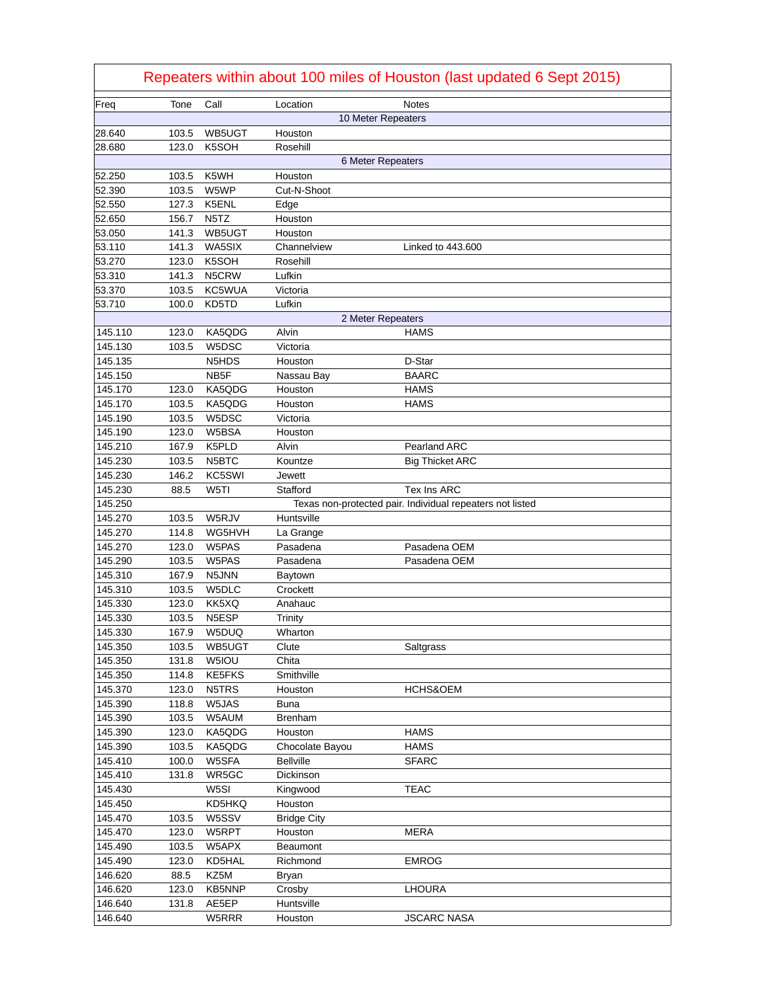| Repeaters within about 100 miles of Houston (last updated 6 Sept 2015) |       |        |                    |                                                           |
|------------------------------------------------------------------------|-------|--------|--------------------|-----------------------------------------------------------|
| Freq                                                                   | Tone  | Call   | Location           | <b>Notes</b>                                              |
|                                                                        |       |        |                    | 10 Meter Repeaters                                        |
| 28.640                                                                 | 103.5 | WB5UGT | Houston            |                                                           |
| 28.680                                                                 | 123.0 | K5SOH  | Rosehill           |                                                           |
|                                                                        |       |        |                    | 6 Meter Repeaters                                         |
| 52.250                                                                 | 103.5 | K5WH   | Houston            |                                                           |
| 52.390                                                                 | 103.5 | W5WP   | Cut-N-Shoot        |                                                           |
| 52.550                                                                 | 127.3 | K5ENL  | Edge               |                                                           |
| 52.650                                                                 | 156.7 | N5TZ   | Houston            |                                                           |
| 53.050                                                                 | 141.3 | WB5UGT | Houston            |                                                           |
| 53.110                                                                 | 141.3 | WA5SIX | Channelview        | Linked to 443.600                                         |
| 53.270                                                                 | 123.0 | K5SOH  | Rosehill           |                                                           |
| 53.310                                                                 | 141.3 | N5CRW  | Lufkin             |                                                           |
| 53.370                                                                 | 103.5 | KC5WUA | Victoria           |                                                           |
| 53.710                                                                 | 100.0 | KD5TD  | Lufkin             |                                                           |
|                                                                        |       |        |                    | 2 Meter Repeaters                                         |
| 145.110                                                                | 123.0 | KA5QDG | Alvin              | HAMS                                                      |
| 145.130                                                                | 103.5 | W5DSC  | Victoria           |                                                           |
| 145.135                                                                |       | N5HDS  | Houston            | D-Star                                                    |
| 145.150                                                                |       | NB5F   | Nassau Bay         | <b>BAARC</b>                                              |
| 145.170                                                                | 123.0 | KA5QDG | Houston            | <b>HAMS</b>                                               |
| 145.170                                                                | 103.5 | KA5QDG | Houston            | <b>HAMS</b>                                               |
| 145.190                                                                | 103.5 | W5DSC  | Victoria           |                                                           |
| 145.190                                                                | 123.0 | W5BSA  | Houston            |                                                           |
| 145.210                                                                | 167.9 | K5PLD  | Alvin              | <b>Pearland ARC</b>                                       |
| 145.230                                                                | 103.5 | N5BTC  | Kountze            | <b>Big Thicket ARC</b>                                    |
| 145.230                                                                | 146.2 | KC5SWI | <b>Jewett</b>      |                                                           |
| 145.230                                                                | 88.5  | W5TI   | Stafford           | Tex Ins ARC                                               |
| 145.250                                                                |       |        |                    | Texas non-protected pair. Individual repeaters not listed |
| 145.270                                                                | 103.5 | W5RJV  | Huntsville         |                                                           |
| 145.270                                                                | 114.8 | WG5HVH | La Grange          |                                                           |
| 145.270                                                                | 123.0 | W5PAS  | Pasadena           | Pasadena OEM                                              |
| 145.290                                                                | 103.5 | W5PAS  | Pasadena           | Pasadena OEM                                              |
| 145.310                                                                | 167.9 | N5JNN  | Baytown            |                                                           |
| 145.310                                                                | 103.5 | W5DLC  | Crockett           |                                                           |
| 145.330                                                                | 123.0 | KK5XQ  | Anahauc            |                                                           |
| 145.330                                                                | 103.5 | N5ESP  | <b>Trinity</b>     |                                                           |
| 145.330                                                                | 167.9 | W5DUQ  | Wharton            |                                                           |
| 145.350                                                                | 103.5 | WB5UGT | Clute              | Saltgrass                                                 |
| 145.350                                                                | 131.8 | W5IOU  | Chita              |                                                           |
| 145.350                                                                | 114.8 | KE5FKS | Smithville         |                                                           |
| 145.370                                                                | 123.0 | N5TRS  | Houston            | HCHS&OEM                                                  |
| 145.390                                                                | 118.8 | W5JAS  | <b>Buna</b>        |                                                           |
| 145.390                                                                | 103.5 | W5AUM  | <b>Brenham</b>     |                                                           |
| 145.390                                                                | 123.0 | KA5QDG | Houston            | <b>HAMS</b>                                               |
| 145.390                                                                | 103.5 | KA5QDG | Chocolate Bayou    | <b>HAMS</b>                                               |
| 145.410                                                                | 100.0 | W5SFA  | <b>Bellville</b>   | <b>SFARC</b>                                              |
| 145.410                                                                | 131.8 | WR5GC  | Dickinson          |                                                           |
| 145.430                                                                |       | W5SI   | Kingwood           | <b>TEAC</b>                                               |
| 145.450                                                                |       | KD5HKQ | Houston            |                                                           |
| 145.470                                                                | 103.5 | W5SSV  | <b>Bridge City</b> |                                                           |
| 145.470                                                                | 123.0 | W5RPT  | Houston            | <b>MERA</b>                                               |
| 145.490                                                                | 103.5 | W5APX  | Beaumont           |                                                           |
| 145.490                                                                | 123.0 | KD5HAL | Richmond           | <b>EMROG</b>                                              |
| 146.620                                                                | 88.5  | KZ5M   | <b>Bryan</b>       |                                                           |
| 146.620                                                                | 123.0 | KB5NNP | Crosby             | LHOURA                                                    |
| 146.640                                                                | 131.8 | AE5EP  | Huntsville         |                                                           |
| 146.640                                                                |       | W5RRR  | Houston            | <b>JSCARC NASA</b>                                        |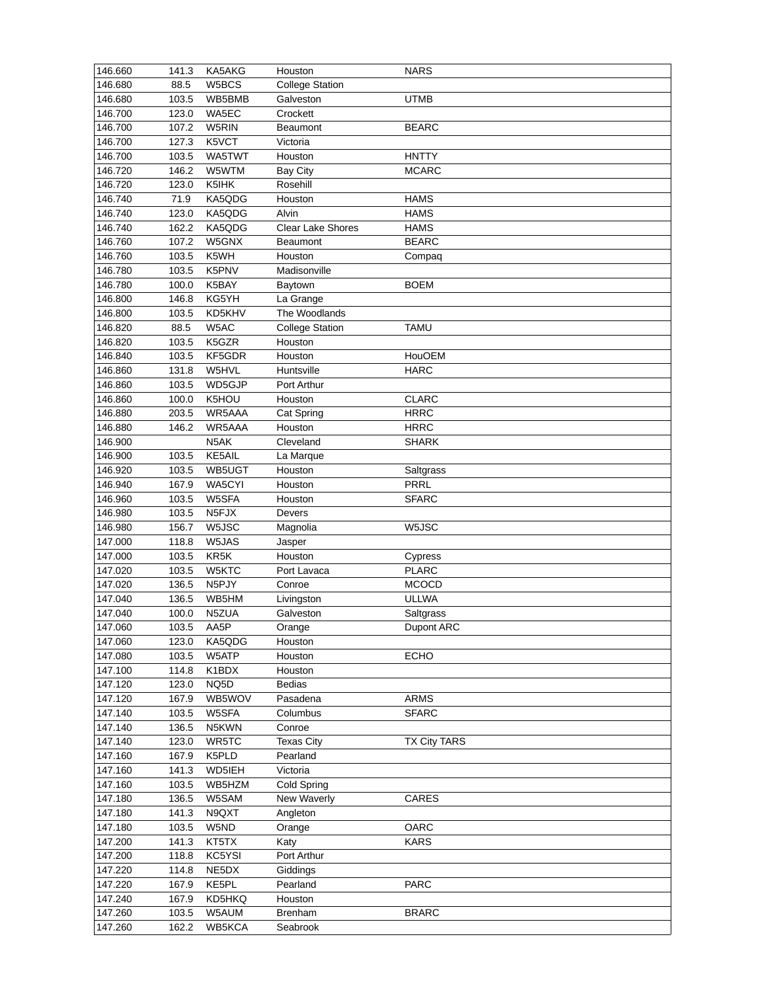| 146.660<br>141.3<br>KA5AKG<br>Houston<br><b>NARS</b>                                                 |  |
|------------------------------------------------------------------------------------------------------|--|
| 146.680<br>88.5<br>W5BCS<br><b>College Station</b>                                                   |  |
| 146.680<br>103.5<br><b>UTMB</b><br>WB5BMB<br>Galveston                                               |  |
| 146.700<br>123.0<br>WA5EC<br>Crockett                                                                |  |
| 146.700<br>107.2<br>W5RIN<br><b>BEARC</b><br><b>Beaumont</b>                                         |  |
| 146.700<br>127.3<br>K5VCT<br>Victoria                                                                |  |
| 146.700<br>103.5<br>WA5TWT<br>Houston<br><b>HNTTY</b>                                                |  |
| 146.720<br>146.2<br>W5WTM<br><b>Bay City</b><br><b>MCARC</b>                                         |  |
| 146.720<br>123.0<br>K5IHK<br>Rosehill                                                                |  |
| 146.740<br>71.9<br>KA5QDG<br>Houston<br><b>HAMS</b>                                                  |  |
| 146.740<br>123.0<br>KA5QDG<br>Alvin<br><b>HAMS</b>                                                   |  |
| 146.740<br>162.2<br><b>Clear Lake Shores</b><br><b>HAMS</b><br>KA5QDG                                |  |
| 146.760<br>107.2<br>W5GNX<br><b>BEARC</b><br><b>Beaumont</b>                                         |  |
| 146.760<br>103.5<br>K5WH<br>Houston<br>Compaq                                                        |  |
| 146.780<br>103.5<br>K5PNV<br>Madisonville                                                            |  |
| 146.780<br>100.0<br>K5BAY<br><b>BOEM</b>                                                             |  |
| Baytown                                                                                              |  |
| 146.800<br>146.8<br>KG5YH<br>La Grange                                                               |  |
| 146.800<br>KD5KHV<br>The Woodlands<br>103.5                                                          |  |
| 146.820<br>W5AC<br>88.5<br><b>College Station</b><br><b>TAMU</b>                                     |  |
| 146.820<br>K5GZR<br>103.5<br>Houston                                                                 |  |
| 146.840<br>Houston<br>103.5<br>KF5GDR<br><b>HouOEM</b>                                               |  |
| 146.860<br>W5HVL<br><b>HARC</b><br>131.8<br>Huntsville                                               |  |
| 146.860<br>103.5<br>WD5GJP<br>Port Arthur                                                            |  |
| 146.860<br>K5HOU<br><b>CLARC</b><br>100.0<br>Houston                                                 |  |
| 146.880<br>203.5<br>WR5AAA<br><b>HRRC</b><br>Cat Spring                                              |  |
| 146.880<br>146.2<br>WR5AAA<br><b>HRRC</b><br>Houston                                                 |  |
| 146.900<br>N5AK<br>Cleveland<br><b>SHARK</b>                                                         |  |
| KE5AIL<br>146.900<br>103.5<br>La Marque                                                              |  |
| 146.920<br>103.5<br>WB5UGT<br>Houston<br>Saltgrass                                                   |  |
| 146.940<br>167.9<br>WA5CYI<br>PRRL<br>Houston                                                        |  |
| 146.960<br>103.5<br>W5SFA<br>Houston<br><b>SFARC</b>                                                 |  |
| 146.980<br>103.5<br>N5FJX<br>Devers                                                                  |  |
| 146.980<br>156.7<br>W5JSC<br>Magnolia<br>W5JSC                                                       |  |
| 147.000<br>W5JAS<br>118.8<br>Jasper                                                                  |  |
| 147.000<br>KR5K<br>103.5<br>Houston<br>Cypress                                                       |  |
| 147.020<br>W5KTC<br>103.5<br>Port Lavaca<br><b>PLARC</b>                                             |  |
| 147.020<br>136.5<br>N5PJY<br><b>MCOCD</b><br>Conroe                                                  |  |
| 147.040<br>136.5<br><b>ULLWA</b><br>WB5HM<br>Livingston                                              |  |
| 147.040<br>100.0<br>N5ZUA<br>Galveston<br>Saltgrass                                                  |  |
| 147.060<br>103.5<br>AA5P<br>Orange<br>Dupont ARC                                                     |  |
| 147.060<br>123.0<br>KA5QDG<br>Houston                                                                |  |
|                                                                                                      |  |
| 147.080<br>103.5<br>W5ATP<br>Houston<br><b>ECHO</b>                                                  |  |
| 147.100<br>K1BDX<br>114.8<br>Houston                                                                 |  |
| 147.120<br>123.0<br>NQ5D<br><b>Bedias</b>                                                            |  |
| 147.120<br>167.9<br>WB5WOV<br>Pasadena<br><b>ARMS</b>                                                |  |
| 147.140<br>103.5<br>W5SFA<br>Columbus<br><b>SFARC</b>                                                |  |
| 147.140<br>136.5<br>N5KWN<br>Conroe                                                                  |  |
| 147.140<br>123.0<br>WR5TC<br><b>Texas City</b><br><b>TX City TARS</b>                                |  |
| 147.160<br>167.9<br>K5PLD<br>Pearland                                                                |  |
| 147.160<br>141.3<br>WD5IEH<br>Victoria                                                               |  |
| 147.160<br>103.5<br>WB5HZM<br>Cold Spring                                                            |  |
| 147.180<br>136.5<br>CARES<br>W5SAM<br>New Waverly                                                    |  |
| 147.180<br>141.3<br>N9QXT<br>Angleton                                                                |  |
| 147.180<br>W5ND<br>103.5<br>OARC<br>Orange                                                           |  |
| 147.200<br>KT5TX<br>141.3<br><b>KARS</b><br>Katy                                                     |  |
| 147.200<br>Port Arthur<br>118.8<br>KC5YSI                                                            |  |
|                                                                                                      |  |
| 114.8<br>Giddings                                                                                    |  |
| 147.220<br>NE5DX<br>167.9<br>147.220<br>Pearland<br><b>PARC</b>                                      |  |
| KE5PL                                                                                                |  |
| 147.240<br>167.9<br>KD5HKQ<br>Houston<br>147.260<br>103.5<br>W5AUM<br><b>Brenham</b><br><b>BRARC</b> |  |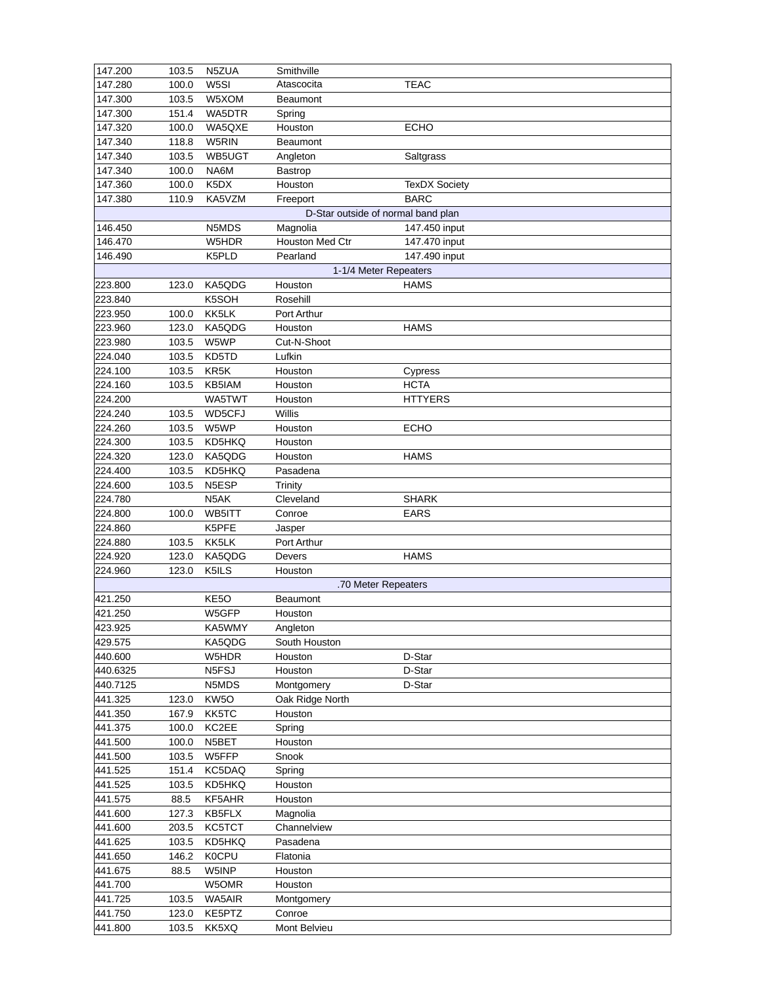| 147.200  | 103.5 | N5ZUA            | Smithville                         |                      |
|----------|-------|------------------|------------------------------------|----------------------|
| 147.280  | 100.0 | W5SI             | Atascocita                         | <b>TEAC</b>          |
| 147.300  | 103.5 | W5XOM            | <b>Beaumont</b>                    |                      |
| 147.300  | 151.4 | WA5DTR           | Spring                             |                      |
| 147.320  | 100.0 | WA5QXE           | Houston                            | <b>ECHO</b>          |
| 147.340  | 118.8 | W5RIN            | <b>Beaumont</b>                    |                      |
| 147.340  | 103.5 | WB5UGT           | Angleton                           | Saltgrass            |
| 147.340  | 100.0 | NA6M             | Bastrop                            |                      |
| 147.360  | 100.0 | K5DX             | Houston                            | <b>TexDX Society</b> |
| 147.380  | 110.9 | KA5VZM           | Freeport                           | <b>BARC</b>          |
|          |       |                  | D-Star outside of normal band plan |                      |
| 146.450  |       | N5MDS            | Magnolia                           | 147.450 input        |
| 146.470  |       | W5HDR            | Houston Med Ctr                    | 147.470 input        |
| 146.490  |       | K5PLD            | Pearland                           | 147.490 input        |
|          |       |                  | 1-1/4 Meter Repeaters              |                      |
| 223.800  | 123.0 | KA5QDG           | Houston                            | <b>HAMS</b>          |
| 223.840  |       | K5SOH            | Rosehill                           |                      |
| 223.950  | 100.0 | KK5LK            | Port Arthur                        |                      |
| 223.960  | 123.0 | KA5QDG           | Houston                            | <b>HAMS</b>          |
|          |       |                  |                                    |                      |
| 223.980  | 103.5 | W5WP             | Cut-N-Shoot                        |                      |
| 224.040  | 103.5 | KD5TD            | Lufkin                             |                      |
| 224.100  | 103.5 | KR5K             | Houston                            | Cypress              |
| 224.160  | 103.5 | KB5IAM           | Houston                            | <b>HCTA</b>          |
| 224.200  |       | WA5TWT           | Houston                            | <b>HTTYERS</b>       |
| 224.240  | 103.5 | WD5CFJ           | Willis                             |                      |
| 224.260  | 103.5 | W5WP             | Houston                            | <b>ECHO</b>          |
| 224.300  | 103.5 | KD5HKQ           | Houston                            |                      |
| 224.320  | 123.0 | KA5QDG           | Houston                            | <b>HAMS</b>          |
| 224.400  | 103.5 | KD5HKQ           | Pasadena                           |                      |
| 224.600  | 103.5 | N5ESP            | Trinity                            |                      |
| 224.780  |       | N5AK             | Cleveland                          | <b>SHARK</b>         |
| 224.800  | 100.0 | WB5ITT           | Conroe                             | <b>EARS</b>          |
| 224.860  |       | K5PFE            | Jasper                             |                      |
| 224.880  | 103.5 | KK5LK            | Port Arthur                        |                      |
| 224.920  | 123.0 | KA5QDG           | Devers                             | <b>HAMS</b>          |
| 224.960  | 123.0 | K5ILS            | Houston                            |                      |
|          |       |                  | .70 Meter Repeaters                |                      |
| 421.250  |       | KE5O             | Beaumont                           |                      |
| 421.250  |       | W5GFP            | Houston                            |                      |
| 423.925  |       | KA5WMY           | Angleton                           |                      |
| 429.575  |       | KA5QDG           | South Houston                      |                      |
| 440.600  |       | W5HDR            | Houston                            | D-Star               |
| 440.6325 |       | N5FSJ            | Houston                            | D-Star               |
| 440.7125 |       | N5MDS            | Montgomery                         | D-Star               |
| 441.325  | 123.0 | KW <sub>50</sub> | Oak Ridge North                    |                      |
| 441.350  | 167.9 | KK5TC            | Houston                            |                      |
| 441.375  | 100.0 | KC2EE            | Spring                             |                      |
| 441.500  | 100.0 | N5BET            | Houston                            |                      |
| 441.500  | 103.5 | W5FFP            | Snook                              |                      |
| 441.525  | 151.4 | KC5DAQ           | Spring                             |                      |
| 441.525  | 103.5 | KD5HKQ           | Houston                            |                      |
| 441.575  | 88.5  | KF5AHR           | Houston                            |                      |
| 441.600  | 127.3 | KB5FLX           | Magnolia                           |                      |
| 441.600  | 203.5 | KC5TCT           | Channelview                        |                      |
| 441.625  | 103.5 | KD5HKQ           | Pasadena                           |                      |
| 441.650  | 146.2 | K0CPU            | Flatonia                           |                      |
| 441.675  | 88.5  | W5INP            | Houston                            |                      |
| 441.700  |       | W5OMR            | Houston                            |                      |
| 441.725  | 103.5 | WA5AIR           |                                    |                      |
|          |       |                  | Montgomery                         |                      |
| 441.750  | 123.0 | KE5PTZ           | Conroe                             |                      |
| 441.800  | 103.5 | KK5XQ            | Mont Belvieu                       |                      |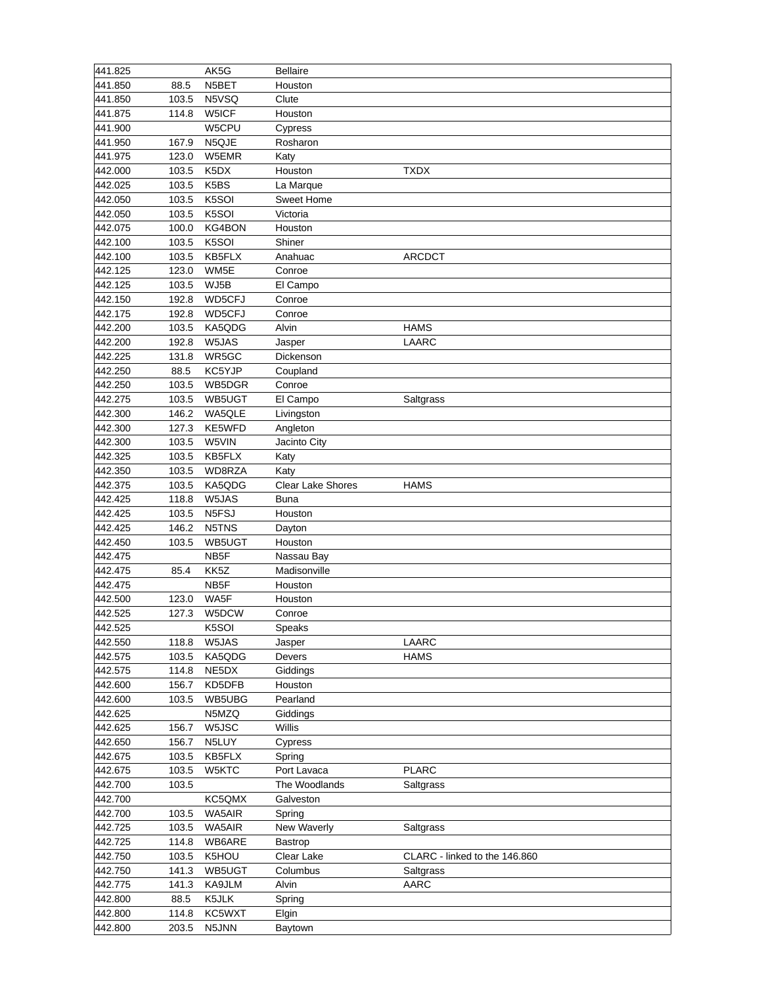| 441.825 |       | AK5G             | <b>Bellaire</b>       |                               |
|---------|-------|------------------|-----------------------|-------------------------------|
| 441.850 | 88.5  | N5BET            | Houston               |                               |
| 441.850 | 103.5 | N5VSQ            | Clute                 |                               |
| 441.875 | 114.8 | W5ICF            | Houston               |                               |
| 441.900 |       | W5CPU            | Cypress               |                               |
| 441.950 | 167.9 | N5QJE            | Rosharon              |                               |
| 441.975 | 123.0 | W5EMR            | Katy                  |                               |
| 442.000 | 103.5 | K5DX             | Houston               | <b>TXDX</b>                   |
| 442.025 | 103.5 | K5BS             | La Marque             |                               |
| 442.050 | 103.5 | K5SOI            | <b>Sweet Home</b>     |                               |
| 442.050 | 103.5 | K5SOI            | Victoria              |                               |
| 442.075 | 100.0 | KG4BON           | Houston               |                               |
| 442.100 | 103.5 | K5SOI            | Shiner                |                               |
| 442.100 | 103.5 | KB5FLX           | Anahuac               | <b>ARCDCT</b>                 |
| 442.125 | 123.0 | WM5E             | Conroe                |                               |
| 442.125 |       |                  |                       |                               |
|         | 103.5 | WJ5B             | El Campo              |                               |
| 442.150 | 192.8 | WD5CFJ           | Conroe                |                               |
| 442.175 | 192.8 | WD5CFJ           | Conroe                |                               |
| 442.200 | 103.5 | KA5QDG           | Alvin                 | <b>HAMS</b>                   |
| 442.200 | 192.8 | W5JAS            | Jasper                | <b>LAARC</b>                  |
| 442.225 | 131.8 | WR5GC            | Dickenson             |                               |
| 442.250 | 88.5  | KC5YJP           | Coupland              |                               |
| 442.250 | 103.5 | WB5DGR           | Conroe                |                               |
| 442.275 | 103.5 | WB5UGT           | El Campo              | Saltgrass                     |
| 442.300 | 146.2 | WA5QLE           | Livingston            |                               |
| 442.300 | 127.3 | KE5WFD           | Angleton              |                               |
| 442.300 | 103.5 | W5VIN            | Jacinto City          |                               |
| 442.325 | 103.5 | KB5FLX           | Katy                  |                               |
| 442.350 | 103.5 | WD8RZA           | Katy                  |                               |
| 442.375 | 103.5 | KA5QDG           | Clear Lake Shores     | <b>HAMS</b>                   |
| 442.425 | 118.8 | W5JAS            | <b>Buna</b>           |                               |
| 442.425 | 103.5 | N5FSJ            | Houston               |                               |
| 442.425 | 146.2 | N5TNS            | Dayton                |                               |
| 442.450 | 103.5 | WB5UGT           | Houston               |                               |
| 442.475 |       | NB5F             | Nassau Bay            |                               |
| 442.475 | 85.4  | KK5Z             | Madisonville          |                               |
| 442.475 |       | NB5F             | Houston               |                               |
| 442.500 | 123.0 | WA5F             | Houston               |                               |
| 442.525 | 127.3 | W5DCW            | Conroe                |                               |
| 442.525 |       | K5SOI            | Speaks                |                               |
| 442.550 | 118.8 | W5JAS            | Jasper                | LAARC                         |
| 442.575 | 103.5 | KA5QDG           | Devers                | <b>HAMS</b>                   |
| 442.575 | 114.8 | NE5DX            | Giddings              |                               |
| 442.600 | 156.7 | KD5DFB           | Houston               |                               |
| 442.600 | 103.5 | WB5UBG           | Pearland              |                               |
| 442.625 |       | N5MZQ            | Giddings              |                               |
| 442.625 | 156.7 | W5JSC            | Willis                |                               |
| 442.650 | 156.7 | N5LUY            | Cypress               |                               |
| 442.675 | 103.5 | KB5FLX           | Spring                |                               |
| 442.675 | 103.5 | W5KTC            | Port Lavaca           | <b>PLARC</b>                  |
| 442.700 | 103.5 |                  | The Woodlands         | Saltgrass                     |
| 442.700 |       | KC5QMX           | Galveston             |                               |
| 442.700 | 103.5 |                  |                       |                               |
| 442.725 | 103.5 | WA5AIR<br>WA5AIR | Spring<br>New Waverly | Saltgrass                     |
|         |       |                  |                       |                               |
| 442.725 | 114.8 | WB6ARE           | Bastrop               |                               |
| 442.750 | 103.5 | K5HOU            | Clear Lake            | CLARC - linked to the 146.860 |
| 442.750 | 141.3 | WB5UGT           | Columbus              | Saltgrass                     |
| 442.775 | 141.3 | KA9JLM           | Alvin                 | AARC                          |
| 442.800 | 88.5  | K5JLK            | Spring                |                               |
| 442.800 | 114.8 | KC5WXT           | Elgin                 |                               |
| 442.800 | 203.5 | N5JNN            | Baytown               |                               |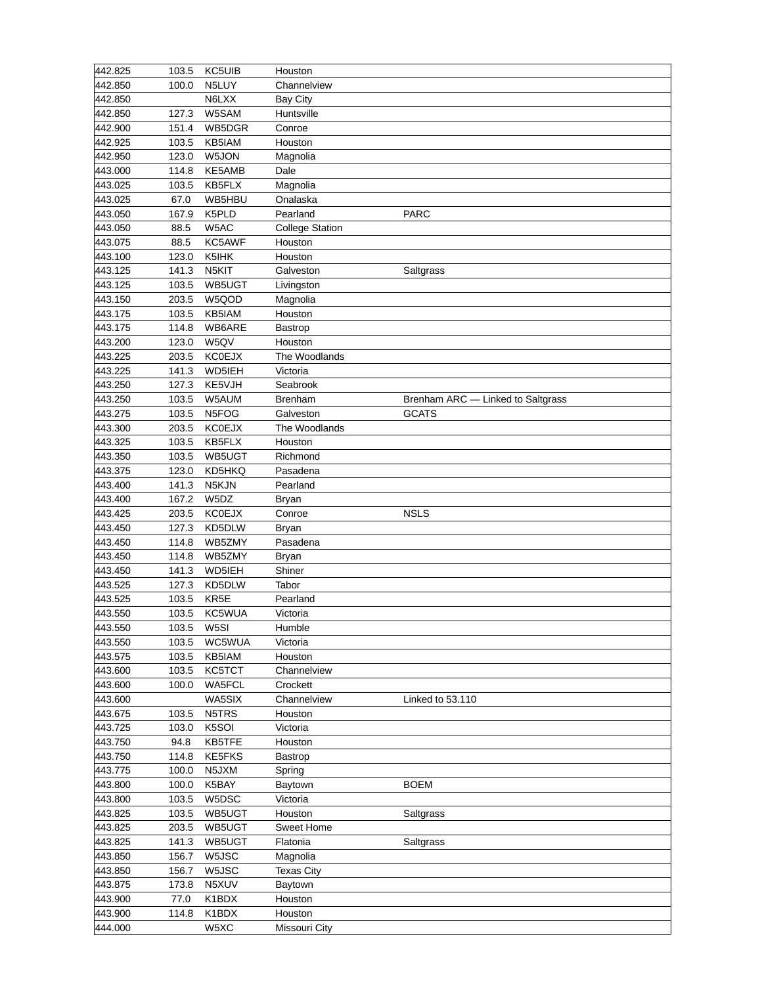| 442.825 | 103.5 | <b>KC5UIB</b> | Houston                |                                   |
|---------|-------|---------------|------------------------|-----------------------------------|
| 442.850 | 100.0 | N5LUY         | Channelview            |                                   |
| 442.850 |       | N6LXX         | <b>Bay City</b>        |                                   |
| 442.850 | 127.3 | W5SAM         | Huntsville             |                                   |
| 442.900 | 151.4 | WB5DGR        | Conroe                 |                                   |
| 442.925 | 103.5 | KB5IAM        | Houston                |                                   |
| 442.950 | 123.0 | W5JON         | Magnolia               |                                   |
| 443.000 | 114.8 | KE5AMB        | Dale                   |                                   |
| 443.025 | 103.5 | KB5FLX        | Magnolia               |                                   |
| 443.025 | 67.0  | WB5HBU        | Onalaska               |                                   |
|         |       |               |                        |                                   |
| 443.050 | 167.9 | K5PLD         | Pearland               | <b>PARC</b>                       |
| 443.050 | 88.5  | W5AC          | <b>College Station</b> |                                   |
| 443.075 | 88.5  | KC5AWF        | Houston                |                                   |
| 443.100 | 123.0 | K5IHK         | Houston                |                                   |
| 443.125 | 141.3 | N5KIT         | Galveston              | Saltgrass                         |
| 443.125 | 103.5 | WB5UGT        | Livingston             |                                   |
| 443.150 | 203.5 | W5QOD         | Magnolia               |                                   |
| 443.175 | 103.5 | KB5IAM        | Houston                |                                   |
| 443.175 | 114.8 | WB6ARE        | <b>Bastrop</b>         |                                   |
| 443.200 | 123.0 | W5QV          | Houston                |                                   |
| 443.225 | 203.5 | <b>KC0EJX</b> | The Woodlands          |                                   |
| 443.225 | 141.3 | WD5IEH        | Victoria               |                                   |
| 443.250 | 127.3 | KE5VJH        | Seabrook               |                                   |
| 443.250 | 103.5 | W5AUM         | <b>Brenham</b>         | Brenham ARC - Linked to Saltgrass |
| 443.275 | 103.5 | N5FOG         | Galveston              | <b>GCATS</b>                      |
| 443.300 | 203.5 | <b>KC0EJX</b> | The Woodlands          |                                   |
| 443.325 | 103.5 | KB5FLX        | Houston                |                                   |
| 443.350 | 103.5 | WB5UGT        | Richmond               |                                   |
| 443.375 | 123.0 | KD5HKQ        | Pasadena               |                                   |
| 443.400 | 141.3 | N5KJN         | Pearland               |                                   |
| 443.400 | 167.2 | W5DZ          | <b>Bryan</b>           |                                   |
| 443.425 | 203.5 | <b>KC0EJX</b> | Conroe                 | <b>NSLS</b>                       |
|         |       |               |                        |                                   |
| 443.450 | 127.3 | KD5DLW        | <b>Bryan</b>           |                                   |
| 443.450 | 114.8 | WB5ZMY        | Pasadena               |                                   |
| 443.450 | 114.8 | WB5ZMY        | <b>Bryan</b>           |                                   |
| 443.450 | 141.3 | WD5IEH        | Shiner                 |                                   |
| 443.525 | 127.3 | KD5DLW        | Tabor                  |                                   |
| 443.525 | 103.5 | KR5E          | Pearland               |                                   |
| 443.550 | 103.5 | KC5WUA        | Victoria               |                                   |
| 443.550 | 103.5 | W5SI          | Humble                 |                                   |
| 443.550 | 103.5 | WC5WUA        | Victoria               |                                   |
| 443.575 | 103.5 | KB5IAM        | Houston                |                                   |
| 443.600 | 103.5 | <b>KC5TCT</b> | Channelview            |                                   |
| 443.600 | 100.0 | WA5FCL        | Crockett               |                                   |
| 443.600 |       | WA5SIX        | Channelview            | Linked to 53.110                  |
| 443.675 | 103.5 | N5TRS         | Houston                |                                   |
| 443.725 | 103.0 | K5SOI         | Victoria               |                                   |
| 443.750 | 94.8  | KB5TFE        | Houston                |                                   |
| 443.750 | 114.8 | KE5FKS        | <b>Bastrop</b>         |                                   |
| 443.775 | 100.0 | N5JXM         | Spring                 |                                   |
| 443.800 | 100.0 | K5BAY         | Baytown                | <b>BOEM</b>                       |
| 443.800 | 103.5 | W5DSC         | Victoria               |                                   |
| 443.825 | 103.5 | WB5UGT        | Houston                | Saltgrass                         |
| 443.825 | 203.5 | WB5UGT        | Sweet Home             |                                   |
|         |       |               |                        |                                   |
| 443.825 | 141.3 | WB5UGT        | Flatonia               | Saltgrass                         |
| 443.850 | 156.7 | W5JSC         | Magnolia               |                                   |
| 443.850 | 156.7 | W5JSC         | <b>Texas City</b>      |                                   |
| 443.875 | 173.8 | N5XUV         | Baytown                |                                   |
| 443.900 | 77.0  | K1BDX         | Houston                |                                   |
| 443.900 | 114.8 | K1BDX         | Houston                |                                   |
| 444.000 |       | W5XC          | Missouri City          |                                   |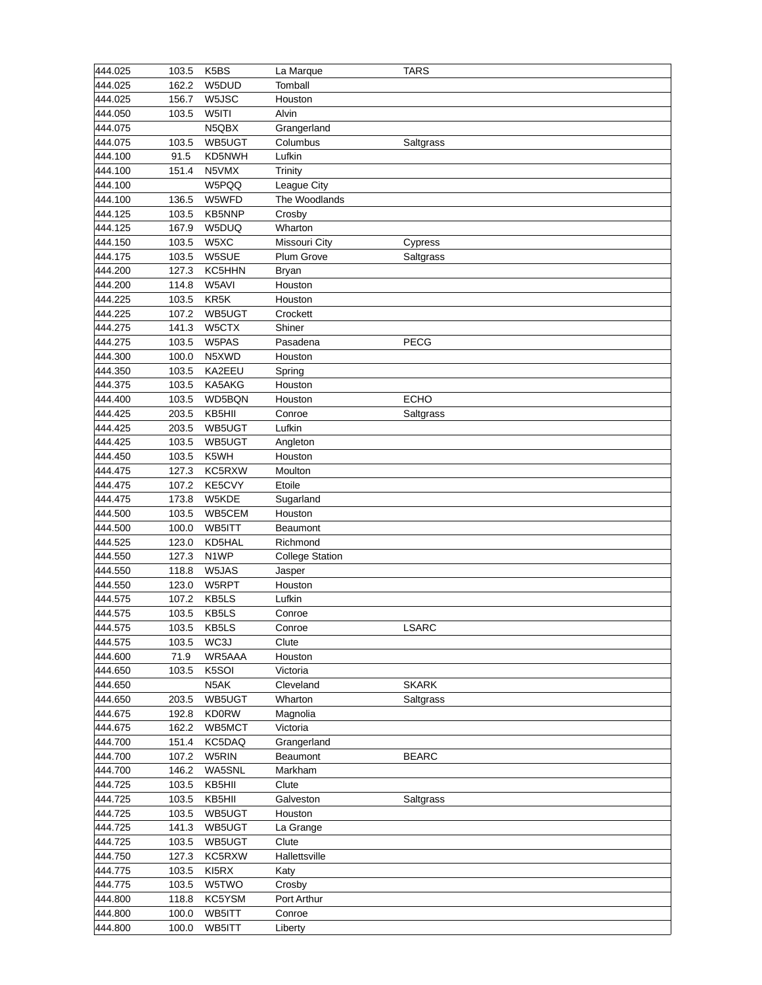| 444.025 | 103.5 | K5BS          | La Marque              | <b>TARS</b>  |
|---------|-------|---------------|------------------------|--------------|
| 444.025 | 162.2 | W5DUD         | Tomball                |              |
| 444.025 | 156.7 | W5JSC         | Houston                |              |
| 444.050 | 103.5 | W5ITI         | Alvin                  |              |
| 444.075 |       | N5QBX         | Grangerland            |              |
| 444.075 | 103.5 | WB5UGT        | Columbus               | Saltgrass    |
| 444.100 | 91.5  | KD5NWH        | Lufkin                 |              |
| 444.100 | 151.4 | N5VMX         | Trinity                |              |
| 444.100 |       | W5PQQ         | League City            |              |
| 444.100 | 136.5 | W5WFD         | The Woodlands          |              |
| 444.125 | 103.5 | <b>KB5NNP</b> |                        |              |
|         |       |               | Crosby                 |              |
| 444.125 | 167.9 | W5DUQ         | Wharton                |              |
| 444.150 | 103.5 | W5XC          | Missouri City          | Cypress      |
| 444.175 | 103.5 | W5SUE         | Plum Grove             | Saltgrass    |
| 444.200 | 127.3 | KC5HHN        | <b>Bryan</b>           |              |
| 444.200 | 114.8 | W5AVI         | Houston                |              |
| 444.225 | 103.5 | KR5K          | Houston                |              |
| 444.225 | 107.2 | WB5UGT        | Crockett               |              |
| 444.275 | 141.3 | W5CTX         | Shiner                 |              |
| 444.275 | 103.5 | W5PAS         | Pasadena               | <b>PECG</b>  |
| 444.300 | 100.0 | N5XWD         | Houston                |              |
| 444.350 | 103.5 | KA2EEU        | Spring                 |              |
| 444.375 | 103.5 | KA5AKG        | Houston                |              |
| 444.400 | 103.5 | WD5BQN        | Houston                | <b>ECHO</b>  |
| 444.425 | 203.5 | KB5HII        | Conroe                 | Saltgrass    |
| 444.425 | 203.5 | WB5UGT        | Lufkin                 |              |
| 444.425 | 103.5 | WB5UGT        | Angleton               |              |
| 444.450 | 103.5 | K5WH          | Houston                |              |
| 444.475 | 127.3 | KC5RXW        | Moulton                |              |
| 444.475 | 107.2 | KE5CVY        | Etoile                 |              |
| 444.475 | 173.8 | W5KDE         | Sugarland              |              |
| 444.500 | 103.5 | WB5CEM        | Houston                |              |
| 444.500 | 100.0 | WB5ITT        | Beaumont               |              |
|         |       |               |                        |              |
| 444.525 | 123.0 | KD5HAL        | Richmond               |              |
| 444.550 | 127.3 | N1WP          | <b>College Station</b> |              |
| 444.550 | 118.8 | W5JAS         | Jasper                 |              |
| 444.550 | 123.0 | W5RPT         | Houston                |              |
| 444.575 | 107.2 | KB5LS         | Lufkin                 |              |
| 444.575 | 103.5 | KB5LS         | Conroe                 |              |
| 444.575 | 103.5 | KB5LS         | Conroe                 | <b>LSARC</b> |
| 444.575 | 103.5 | WC3J          | Clute                  |              |
| 444.600 | 71.9  | WR5AAA        | Houston                |              |
| 444.650 | 103.5 | K5SOI         | Victoria               |              |
| 444.650 |       | N5AK          | Cleveland              | <b>SKARK</b> |
| 444.650 | 203.5 | WB5UGT        | Wharton                | Saltgrass    |
| 444.675 | 192.8 | <b>KD0RW</b>  | Magnolia               |              |
| 444.675 | 162.2 | WB5MCT        | Victoria               |              |
| 444.700 | 151.4 | KC5DAQ        | Grangerland            |              |
| 444.700 | 107.2 | W5RIN         | Beaumont               | <b>BEARC</b> |
| 444.700 | 146.2 | WA5SNL        | Markham                |              |
| 444.725 | 103.5 | KB5HII        | Clute                  |              |
| 444.725 | 103.5 | KB5HII        | Galveston              | Saltgrass    |
|         |       |               |                        |              |
| 444.725 | 103.5 | WB5UGT        | Houston                |              |
| 444.725 | 141.3 | WB5UGT        | La Grange              |              |
| 444.725 | 103.5 | WB5UGT        | Clute                  |              |
| 444.750 | 127.3 | KC5RXW        | Hallettsville          |              |
| 444.775 | 103.5 | KI5RX         | Katy                   |              |
| 444.775 | 103.5 | W5TWO         | Crosby                 |              |
| 444.800 | 118.8 | KC5YSM        | Port Arthur            |              |
| 444.800 | 100.0 | WB5ITT        | Conroe                 |              |
| 444.800 | 100.0 | WB5ITT        | Liberty                |              |